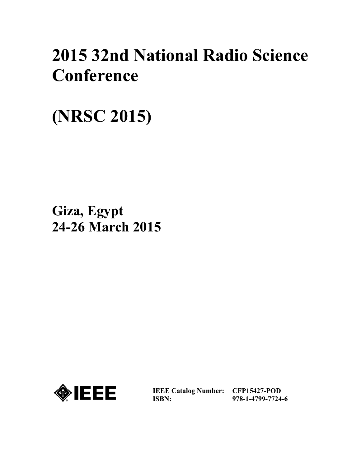## **2015 32nd National Radio Science Conference**

**(NRSC 2015)** 

**Giza, Egypt 24-26 March 2015** 



**IEEE Catalog Number: CFP15427-POD ISBN:** 

**978-1-4799-7724-6**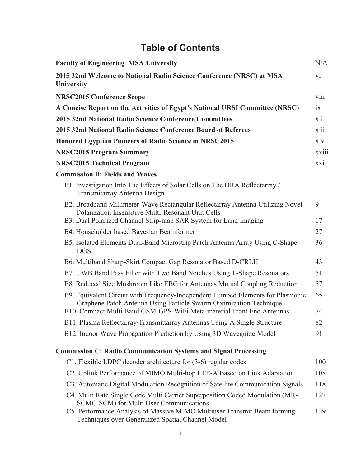| <b>Table of Contents</b>                                                                                                                              |                 |  |
|-------------------------------------------------------------------------------------------------------------------------------------------------------|-----------------|--|
| <b>Faculty of Engineering MSA University</b>                                                                                                          | N/A             |  |
| 2015 32nd Welcome to National Radio Science Conference (NRSC) at MSA<br><b>University</b>                                                             | $\overline{vi}$ |  |
| <b>NRSC2015 Conference Scope</b>                                                                                                                      | viii            |  |
| A Concise Report on the Activities of Egypt's National URSI Committee (NRSC)                                                                          | ix              |  |
| 2015 32nd National Radio Science Conference Committees                                                                                                | xii             |  |
| 2015 32nd National Radio Science Conference Board of Referees                                                                                         | xiii            |  |
| <b>Honored Egyptian Pioneers of Radio Science in NRSC2015</b>                                                                                         | xiv             |  |
| <b>NRSC2015 Program Summary</b>                                                                                                                       | xviii           |  |
| <b>NRSC2015 Technical Program</b>                                                                                                                     | xxi             |  |
| <b>Commission B: Fields and Waves</b>                                                                                                                 |                 |  |
| B1. Investigation Into The Effects of Solar Cells on The DRA Reflectarray /<br>Transmitarray Antenna Design                                           | $\mathbf{1}$    |  |
| B2. Broadband Millimeter-Wave Rectangular Reflectarray Antenna Utilizing Novel<br>Polarization Insensitive Multi-Resonant Unit Cells                  | 9               |  |
| B3. Dual Polarized Channel Strip-map SAR System for Land Imaging                                                                                      | 17              |  |
| B4. Householder based Bayesian Beamformer                                                                                                             | 27              |  |
| B5. Isolated Elements Dual-Band Microstrip Patch Antenna Array Using C-Shape<br><b>DGS</b>                                                            | 36              |  |
| B6. Multiband Sharp-Skirt Compact Gap Resonator Based D-CRLH                                                                                          | 43              |  |
| B7. UWB Band Pass Filter with Two Band Notches Using T-Shape Resonators                                                                               | 51              |  |
| B8. Reduced Size Mushroom Like EBG for Antennas Mutual Coupling Reduction                                                                             | 57              |  |
| B9. Equivalent Circuit with Frequency-Independent Lumped Elements for Plasmonic<br>Graphene Patch Antenna Using Particle Swarm Optimization Technique | 65              |  |
| B10. Compact Multi Band GSM-GPS-WiFi Meta-material Front End Antennas                                                                                 | 74              |  |
| B11. Plasma Reflectarray/Transmittarray Antennas Using A Single Structure                                                                             | 82              |  |
| B12. Indoor Wave Propagation Prediction by Using 3D Waveguide Model                                                                                   | 91              |  |
| <b>Commission C: Radio Communication Systems and Signal Processing</b>                                                                                |                 |  |
| C1. Flexible LDPC decoder architecture for (3-6) regular codes                                                                                        | 100             |  |
| C2. Uplink Performance of MIMO Multi-hop LTE-A Based on Link Adaptation                                                                               | 108             |  |
| C3. Automatic Digital Modulation Recognition of Satellite Communication Signals                                                                       | 118             |  |
| C4. Multi Rate Single Code Multi Carrier Superposition Coded Modulation (MR-<br>SCMC-SCM) for Multi User Communications                               | 127             |  |
| C5. Performance Analysis of Massive MIMO Multiuser Transmit Beam forming<br>Techniques over Generalized Spatial Channel Model                         | 139             |  |
|                                                                                                                                                       |                 |  |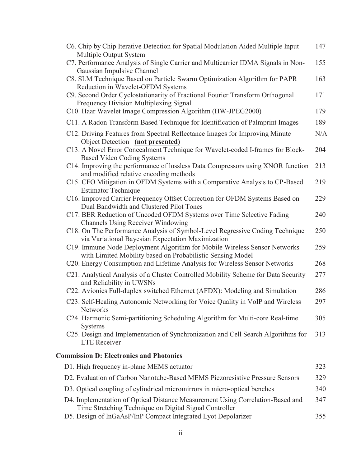| C6. Chip by Chip Iterative Detection for Spatial Modulation Aided Multiple Input                                                             | 147 |
|----------------------------------------------------------------------------------------------------------------------------------------------|-----|
| Multiple Output System<br>C7. Performance Analysis of Single Carrier and Multicarrier IDMA Signals in Non-                                   | 155 |
| Gaussian Impulsive Channel<br>C8. SLM Technique Based on Particle Swarm Optimization Algorithm for PAPR<br>Reduction in Wavelet-OFDM Systems | 163 |
| C9. Second Order Cyclostationarity of Fractional Fourier Transform Orthogonal<br>Frequency Division Multiplexing Signal                      | 171 |
| C10. Haar Wavelet Image Compression Algorithm (HW-JPEG2000)                                                                                  | 179 |
| C11. A Radon Transform Based Technique for Identification of Palmprint Images                                                                | 189 |
| C12. Driving Features from Spectral Reflectance Images for Improving Minute<br>Object Detection (not presented)                              | N/A |
| C13. A Novel Error Concealment Technique for Wavelet-coded I-frames for Block-<br><b>Based Video Coding Systems</b>                          | 204 |
| C14. Improving the performance of lossless Data Compressors using XNOR function<br>and modified relative encoding methods                    | 213 |
| C15. CFO Mitigation in OFDM Systems with a Comparative Analysis to CP-Based<br><b>Estimator Technique</b>                                    | 219 |
| C16. Improved Carrier Frequency Offset Correction for OFDM Systems Based on<br>Dual Bandwidth and Clustered Pilot Tones                      | 229 |
| C17. BER Reduction of Uncoded OFDM Systems over Time Selective Fading<br><b>Channels Using Receiver Windowing</b>                            | 240 |
| C18. On The Performance Analysis of Symbol-Level Regressive Coding Technique<br>via Variational Bayesian Expectation Maximization            | 250 |
| C19. Immune Node Deployment Algorithm for Mobile Wireless Sensor Networks<br>with Limited Mobility based on Probabilistic Sensing Model      | 259 |
| C20. Energy Consumption and Lifetime Analysis for Wireless Sensor Networks                                                                   | 268 |
| C21. Analytical Analysis of a Cluster Controlled Mobility Scheme for Data Security<br>and Reliability in UWSNs                               | 277 |
| C22. Avionics Full-duplex switched Ethernet (AFDX): Modeling and Simulation                                                                  | 286 |
| C23. Self-Healing Autonomic Networking for Voice Quality in VoIP and Wireless<br><b>Networks</b>                                             | 297 |
| C24. Harmonic Semi-partitioning Scheduling Algorithm for Multi-core Real-time<br><b>Systems</b>                                              | 305 |
| C25. Design and Implementation of Synchronization and Cell Search Algorithms for<br><b>LTE</b> Receiver                                      | 313 |
| <b>Commission D: Electronics and Photonics</b>                                                                                               |     |
| D1. High frequency in-plane MEMS actuator                                                                                                    | 323 |
| D2. Evaluation of Carbon Nanotube-Based MEMS Piezoresistive Pressure Sensors                                                                 | 329 |
| D3. Optical coupling of cylindrical micromirrors in micro-optical benches                                                                    | 340 |
| D4. Implementation of Optical Distance Measurement Using Correlation-Based and<br>Time Stretching Technique on Digital Signal Controller     | 347 |
| D5. Design of InGaAsP/InP Compact Integrated Lyot Depolarizer                                                                                | 355 |

 $\rm ii$